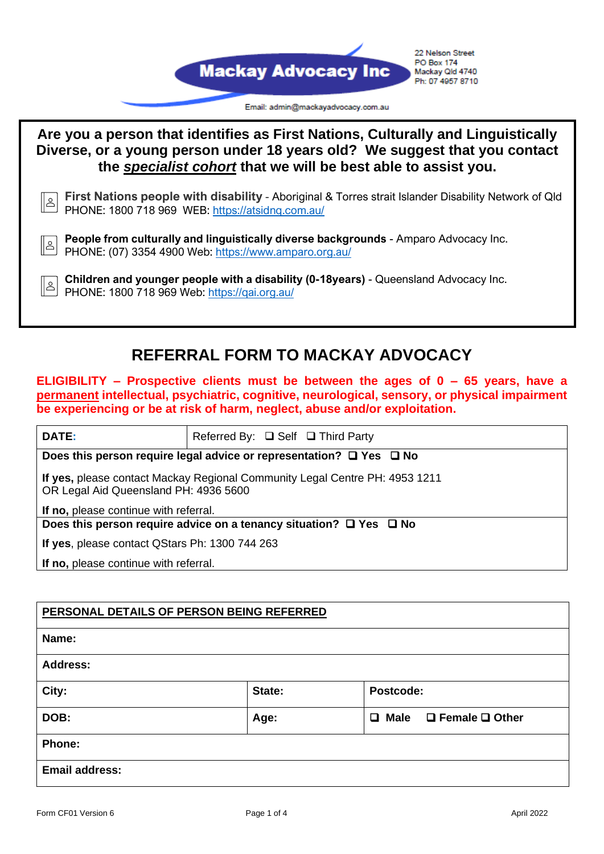



## **REFERRAL FORM TO MACKAY ADVOCACY**

**ELIGIBILITY – Prospective clients must be between the ages of 0 – 65 years, have a permanent intellectual, psychiatric, cognitive, neurological, sensory, or physical impairment be experiencing or be at risk of harm, neglect, abuse and/or exploitation.**

| <b>DATE:</b>                                                                                                         | Referred By: $\Box$ Self $\Box$ Third Party |  |
|----------------------------------------------------------------------------------------------------------------------|---------------------------------------------|--|
| Does this person require legal advice or representation? $\square$ Yes $\square$ No                                  |                                             |  |
| If yes, please contact Mackay Regional Community Legal Centre PH: 4953 1211<br>OR Legal Aid Queensland PH: 4936 5600 |                                             |  |
| If no, please continue with referral.                                                                                |                                             |  |
| Does this person require advice on a tenancy situation? $\Box$ Yes $\Box$ No                                         |                                             |  |
| If yes, please contact QStars Ph: 1300 744 263                                                                       |                                             |  |
| If no, please continue with referral.                                                                                |                                             |  |

## **PERSONAL DETAILS OF PERSON BEING REFERRED**

| Name:                 |        |                                           |
|-----------------------|--------|-------------------------------------------|
| <b>Address:</b>       |        |                                           |
| City:                 | State: | Postcode:                                 |
| DOB:                  | Age:   | $\Box$ Female $\Box$ Other<br>$\Box$ Male |
| Phone:                |        |                                           |
| <b>Email address:</b> |        |                                           |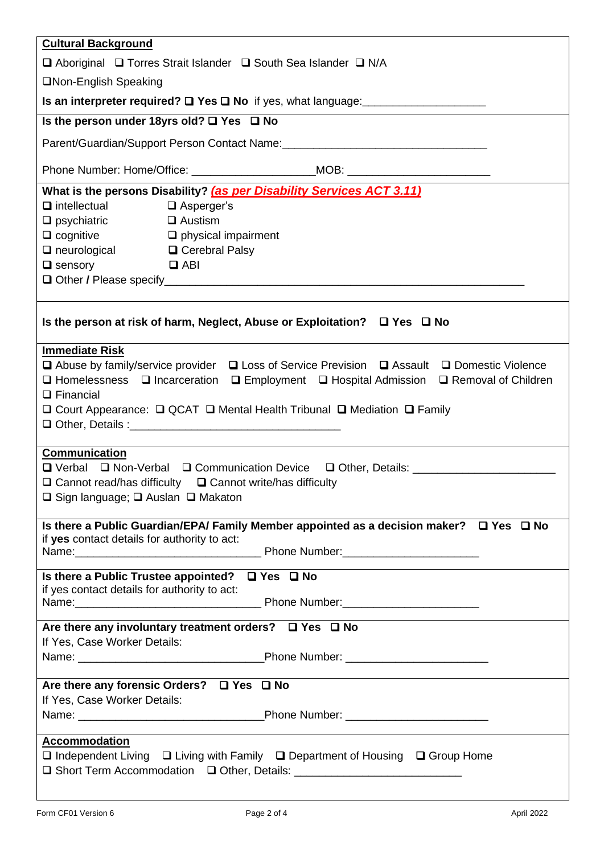| <b>Cultural Background</b>                                                                                       |  |  |  |
|------------------------------------------------------------------------------------------------------------------|--|--|--|
| □ Aboriginal □ Torres Strait Islander □ South Sea Islander □ N/A                                                 |  |  |  |
| □Non-English Speaking                                                                                            |  |  |  |
|                                                                                                                  |  |  |  |
| Is the person under 18yrs old? □ Yes □ No                                                                        |  |  |  |
| Parent/Guardian/Support Person Contact Name: ___________________________________                                 |  |  |  |
| Phone Number: Home/Office: _________________________MOB: _______________________                                 |  |  |  |
| What is the persons Disability? (as per Disability Services ACT 3.11)                                            |  |  |  |
| $\Box$ intellectual<br>$\Box$ Asperger's                                                                         |  |  |  |
| $\Box$ Austism<br>$\Box$ psychiatric                                                                             |  |  |  |
| $\Box$ cognitive $\Box$ physical impairment                                                                      |  |  |  |
| $\Box$ neurological $\Box$ Cerebral Palsy                                                                        |  |  |  |
| $\Box$ sensory<br><b>Example 2</b> ABI                                                                           |  |  |  |
|                                                                                                                  |  |  |  |
|                                                                                                                  |  |  |  |
| Is the person at risk of harm, Neglect, Abuse or Exploitation? $\Box$ Yes $\Box$ No                              |  |  |  |
| <b>Immediate Risk</b>                                                                                            |  |  |  |
| $\Box$ Abuse by family/service provider $\Box$ Loss of Service Prevision $\Box$ Assault $\Box$ Domestic Violence |  |  |  |
| □ Homelessness □ Incarceration □ Employment □ Hospital Admission □ Removal of Children                           |  |  |  |
| $\Box$ Financial                                                                                                 |  |  |  |
| $\Box$ Court Appearance: $\Box$ QCAT $\Box$ Mental Health Tribunal $\Box$ Mediation $\Box$ Family                |  |  |  |
|                                                                                                                  |  |  |  |
|                                                                                                                  |  |  |  |
| <b>Communication</b>                                                                                             |  |  |  |
| □ Verbal □ Non-Verbal □ Communication Device □ Other, Details: _________________                                 |  |  |  |
| $\Box$ Cannot read/has difficulty<br>$\Box$ Cannot write/has difficulty                                          |  |  |  |
| $\Box$ Sign language; $\Box$ Auslan $\Box$ Makaton                                                               |  |  |  |
|                                                                                                                  |  |  |  |
| Is there a Public Guardian/EPA/ Family Member appointed as a decision maker? $\Box$ Yes $\Box$ No                |  |  |  |
| if yes contact details for authority to act:                                                                     |  |  |  |
|                                                                                                                  |  |  |  |
| Is there a Public Trustee appointed? $\Box$ Yes $\Box$ No                                                        |  |  |  |
| if yes contact details for authority to act:                                                                     |  |  |  |
| Are there any involuntary treatment orders? $\Box$ Yes $\Box$ No                                                 |  |  |  |
| If Yes, Case Worker Details:                                                                                     |  |  |  |
|                                                                                                                  |  |  |  |
|                                                                                                                  |  |  |  |
| Are there any forensic Orders? □ Yes □ No                                                                        |  |  |  |
| If Yes, Case Worker Details:                                                                                     |  |  |  |
|                                                                                                                  |  |  |  |
| Accommodation                                                                                                    |  |  |  |
| $\Box$ Independent Living $\Box$ Living with Family $\Box$ Department of Housing $\Box$ Group Home               |  |  |  |
| □ Short Term Accommodation □ Other, Details: __________________________________                                  |  |  |  |
|                                                                                                                  |  |  |  |
|                                                                                                                  |  |  |  |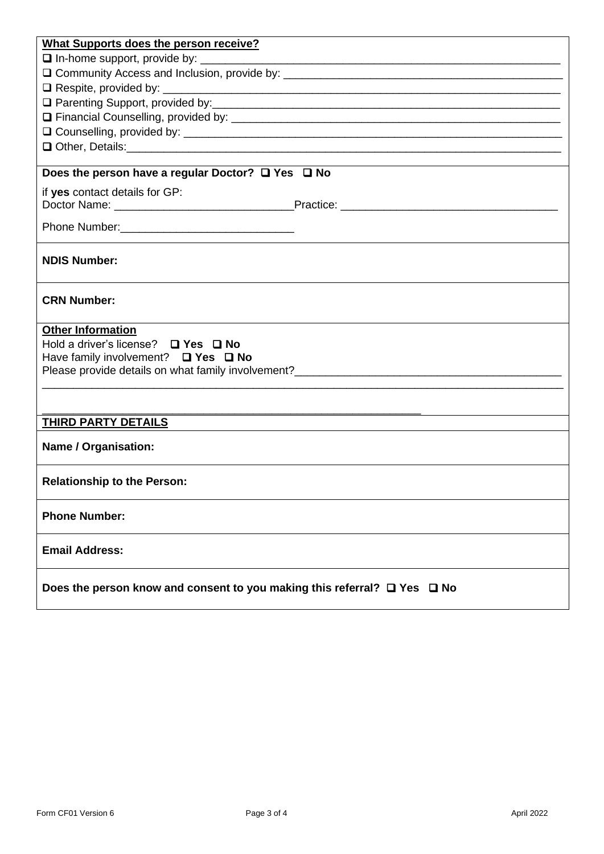| What Supports does the person receive?                                                                                                                                                                                         |  |  |
|--------------------------------------------------------------------------------------------------------------------------------------------------------------------------------------------------------------------------------|--|--|
|                                                                                                                                                                                                                                |  |  |
|                                                                                                                                                                                                                                |  |  |
|                                                                                                                                                                                                                                |  |  |
|                                                                                                                                                                                                                                |  |  |
|                                                                                                                                                                                                                                |  |  |
|                                                                                                                                                                                                                                |  |  |
| Q Other, Details: 2008 Contract and Contract and Contract and Contract and Contract and Contract and Contract and Contract and Contract and Contract and Contract and Contract and Contract and Contract and Contract and Cont |  |  |
|                                                                                                                                                                                                                                |  |  |
| Does the person have a regular Doctor? $\Box$ Yes $\Box$ No                                                                                                                                                                    |  |  |
| if yes contact details for GP:                                                                                                                                                                                                 |  |  |
|                                                                                                                                                                                                                                |  |  |
|                                                                                                                                                                                                                                |  |  |
|                                                                                                                                                                                                                                |  |  |
| <b>NDIS Number:</b>                                                                                                                                                                                                            |  |  |
| <b>CRN Number:</b>                                                                                                                                                                                                             |  |  |
| <b>Other Information</b>                                                                                                                                                                                                       |  |  |
| Hold a driver's license? $\Box$ Yes $\Box$ No                                                                                                                                                                                  |  |  |
| Have family involvement? $\Box$ Yes $\Box$ No                                                                                                                                                                                  |  |  |
|                                                                                                                                                                                                                                |  |  |
|                                                                                                                                                                                                                                |  |  |
|                                                                                                                                                                                                                                |  |  |
| THIRD PARTY DETAILS                                                                                                                                                                                                            |  |  |
| <b>Name / Organisation:</b>                                                                                                                                                                                                    |  |  |
| <b>Relationship to the Person:</b>                                                                                                                                                                                             |  |  |
| <b>Phone Number:</b>                                                                                                                                                                                                           |  |  |
| <b>Email Address:</b>                                                                                                                                                                                                          |  |  |
| Does the person know and consent to you making this referral? $\Box$ Yes $\Box$ No                                                                                                                                             |  |  |